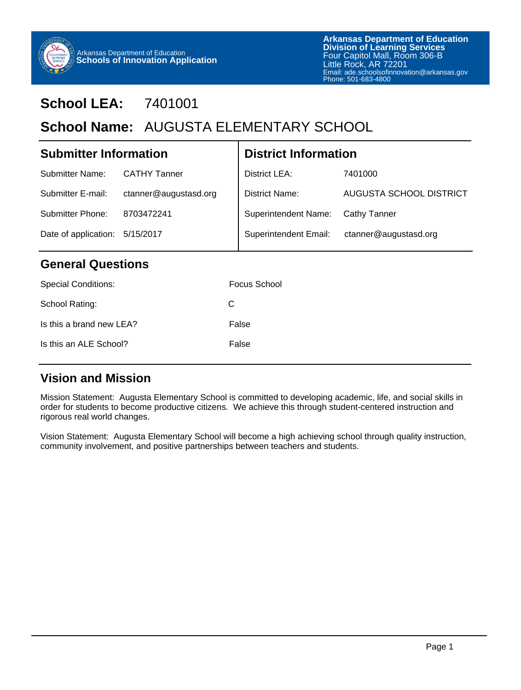

# **School LEA:** 7401001

# School Name: AUGUSTA ELEMENTARY SCHOOL

| <b>Submitter Information</b>   |                       | <b>District Information</b> |                         |  |
|--------------------------------|-----------------------|-----------------------------|-------------------------|--|
| Submitter Name:                | <b>CATHY Tanner</b>   | District LEA:               | 7401000                 |  |
| Submitter E-mail:              | ctanner@augustasd.org | District Name:              | AUGUSTA SCHOOL DISTRICT |  |
| Submitter Phone:               | 8703472241            | Superintendent Name:        | Cathy Tanner            |  |
| Date of application: 5/15/2017 |                       | Superintendent Email:       | ctanner@augustasd.org   |  |
|                                |                       |                             |                         |  |

#### **General Questions**

| <b>Special Conditions:</b> | Focus School |
|----------------------------|--------------|
| School Rating:             | C            |
| Is this a brand new LEA?   | False        |
| Is this an ALE School?     | False        |
|                            |              |

### **Vision and Mission**

Mission Statement: Augusta Elementary School is committed to developing academic, life, and social skills in order for students to become productive citizens. We achieve this through student-centered instruction and rigorous real world changes.

Vision Statement: Augusta Elementary School will become a high achieving school through quality instruction, community involvement, and positive partnerships between teachers and students.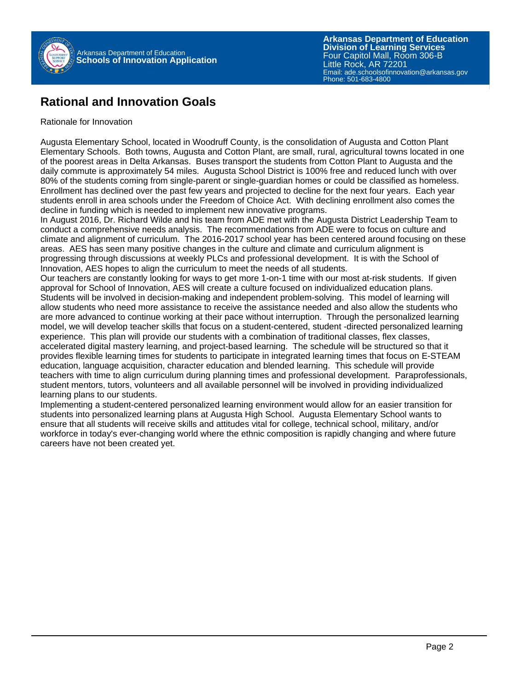

#### **Rational and Innovation Goals**

#### Rationale for Innovation

Augusta Elementary School, located in Woodruff County, is the consolidation of Augusta and Cotton Plant Elementary Schools. Both towns, Augusta and Cotton Plant, are small, rural, agricultural towns located in one of the poorest areas in Delta Arkansas. Buses transport the students from Cotton Plant to Augusta and the daily commute is approximately 54 miles. Augusta School District is 100% free and reduced lunch with over 80% of the students coming from single-parent or single-guardian homes or could be classified as homeless. Enrollment has declined over the past few years and projected to decline for the next four years. Each year students enroll in area schools under the Freedom of Choice Act. With declining enrollment also comes the decline in funding which is needed to implement new innovative programs.

In August 2016, Dr. Richard Wilde and his team from ADE met with the Augusta District Leadership Team to conduct a comprehensive needs analysis. The recommendations from ADE were to focus on culture and climate and alignment of curriculum. The 2016-2017 school year has been centered around focusing on these areas. AES has seen many positive changes in the culture and climate and curriculum alignment is progressing through discussions at weekly PLCs and professional development. It is with the School of Innovation, AES hopes to align the curriculum to meet the needs of all students.

Our teachers are constantly looking for ways to get more 1-on-1 time with our most at-risk students. If given approval for School of Innovation, AES will create a culture focused on individualized education plans. Students will be involved in decision-making and independent problem-solving. This model of learning will allow students who need more assistance to receive the assistance needed and also allow the students who are more advanced to continue working at their pace without interruption. Through the personalized learning model, we will develop teacher skills that focus on a student-centered, student -directed personalized learning experience. This plan will provide our students with a combination of traditional classes, flex classes, accelerated digital mastery learning, and project-based learning. The schedule will be structured so that it provides flexible learning times for students to participate in integrated learning times that focus on E-STEAM education, language acquisition, character education and blended learning. This schedule will provide teachers with time to align curriculum during planning times and professional development. Paraprofessionals, student mentors, tutors, volunteers and all available personnel will be involved in providing individualized learning plans to our students.

Implementing a student-centered personalized learning environment would allow for an easier transition for students into personalized learning plans at Augusta High School. Augusta Elementary School wants to ensure that all students will receive skills and attitudes vital for college, technical school, military, and/or workforce in today's ever-changing world where the ethnic composition is rapidly changing and where future careers have not been created yet.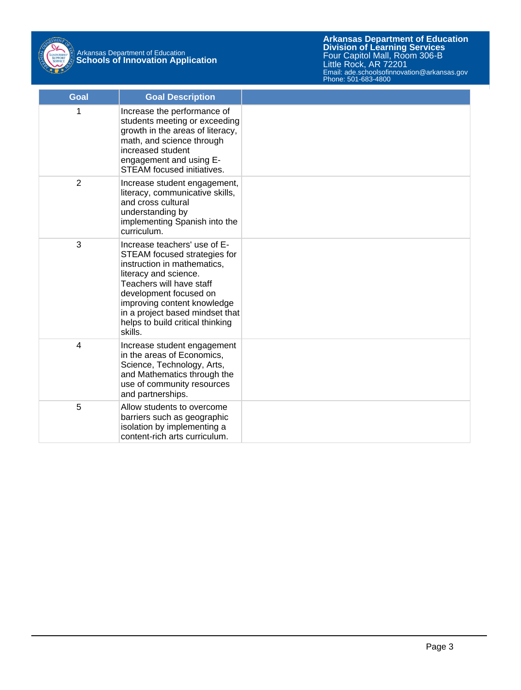

# Arkansas Department of Education **Schools of Innovation Application**

**Arkansas Department of Education** Email: ade.schoolsofinnovation@arkansas.gov **Division of Learning Services** Four Capitol Mall, Room 306-B Little Rock, AR 72201 Phone: 501-683-4800

| <b>Goal</b>    | <b>Goal Description</b>                                                                                                                                                                                                                                                                     |  |
|----------------|---------------------------------------------------------------------------------------------------------------------------------------------------------------------------------------------------------------------------------------------------------------------------------------------|--|
| 1              | Increase the performance of<br>students meeting or exceeding<br>growth in the areas of literacy,<br>math, and science through<br>increased student<br>engagement and using E-<br><b>STEAM</b> focused initiatives.                                                                          |  |
| $\overline{2}$ | Increase student engagement,<br>literacy, communicative skills,<br>and cross cultural<br>understanding by<br>implementing Spanish into the<br>curriculum.                                                                                                                                   |  |
| 3              | Increase teachers' use of E-<br>STEAM focused strategies for<br>instruction in mathematics,<br>literacy and science.<br>Teachers will have staff<br>development focused on<br>improving content knowledge<br>in a project based mindset that<br>helps to build critical thinking<br>skills. |  |
| 4              | Increase student engagement<br>in the areas of Economics,<br>Science, Technology, Arts,<br>and Mathematics through the<br>use of community resources<br>and partnerships.                                                                                                                   |  |
| 5              | Allow students to overcome<br>barriers such as geographic<br>isolation by implementing a<br>content-rich arts curriculum.                                                                                                                                                                   |  |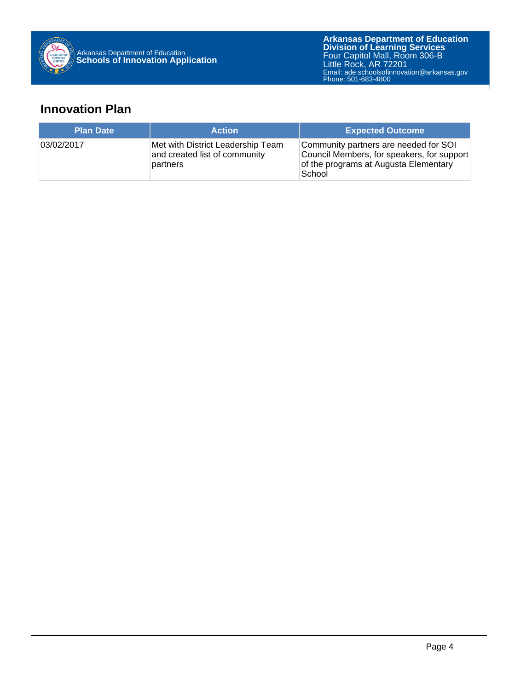

## **Innovation Plan**

| <b>Plan Date</b> | <b>Action</b>                                                                  | <b>Expected Outcome</b>                                                                                                                |
|------------------|--------------------------------------------------------------------------------|----------------------------------------------------------------------------------------------------------------------------------------|
| 03/02/2017       | Met with District Leadership Team<br>and created list of community<br>partners | Community partners are needed for SOI<br>Council Members, for speakers, for support<br>of the programs at Augusta Elementary<br>School |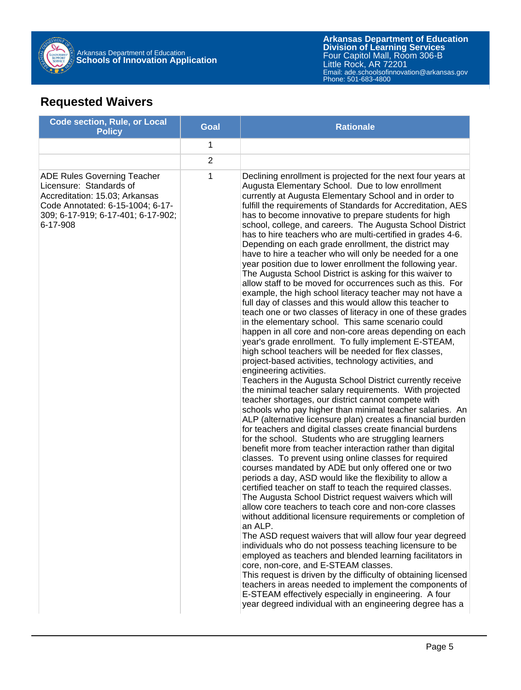

## **Requested Waivers**

| <b>Code section, Rule, or Local</b><br><b>Policy</b>                                                                                                                                  | <b>Goal</b>    | <b>Rationale</b>                                                                                                                                                                                                                                                                                                                                                                                                                                                                                                                                                                                                                                                                                                                                                                                                                                                                                                                                                                                                                                                                                                                                                                                                                                                                                                                                                                                                                                                                                                                                                                                                                                                                                                                                                                                                                                                                                                                                                                                                                                                                                                                                                                                                                                                                                                                                                                                                                                                                                                                                                                                                                                                       |
|---------------------------------------------------------------------------------------------------------------------------------------------------------------------------------------|----------------|------------------------------------------------------------------------------------------------------------------------------------------------------------------------------------------------------------------------------------------------------------------------------------------------------------------------------------------------------------------------------------------------------------------------------------------------------------------------------------------------------------------------------------------------------------------------------------------------------------------------------------------------------------------------------------------------------------------------------------------------------------------------------------------------------------------------------------------------------------------------------------------------------------------------------------------------------------------------------------------------------------------------------------------------------------------------------------------------------------------------------------------------------------------------------------------------------------------------------------------------------------------------------------------------------------------------------------------------------------------------------------------------------------------------------------------------------------------------------------------------------------------------------------------------------------------------------------------------------------------------------------------------------------------------------------------------------------------------------------------------------------------------------------------------------------------------------------------------------------------------------------------------------------------------------------------------------------------------------------------------------------------------------------------------------------------------------------------------------------------------------------------------------------------------------------------------------------------------------------------------------------------------------------------------------------------------------------------------------------------------------------------------------------------------------------------------------------------------------------------------------------------------------------------------------------------------------------------------------------------------------------------------------------------------|
|                                                                                                                                                                                       | 1              |                                                                                                                                                                                                                                                                                                                                                                                                                                                                                                                                                                                                                                                                                                                                                                                                                                                                                                                                                                                                                                                                                                                                                                                                                                                                                                                                                                                                                                                                                                                                                                                                                                                                                                                                                                                                                                                                                                                                                                                                                                                                                                                                                                                                                                                                                                                                                                                                                                                                                                                                                                                                                                                                        |
|                                                                                                                                                                                       | $\overline{2}$ |                                                                                                                                                                                                                                                                                                                                                                                                                                                                                                                                                                                                                                                                                                                                                                                                                                                                                                                                                                                                                                                                                                                                                                                                                                                                                                                                                                                                                                                                                                                                                                                                                                                                                                                                                                                                                                                                                                                                                                                                                                                                                                                                                                                                                                                                                                                                                                                                                                                                                                                                                                                                                                                                        |
| <b>ADE Rules Governing Teacher</b><br>Licensure: Standards of<br>Accreditation: 15.03; Arkansas<br>Code Annotated: 6-15-1004; 6-17-<br>309; 6-17-919; 6-17-401; 6-17-902;<br>6-17-908 | 1              | Declining enrollment is projected for the next four years at<br>Augusta Elementary School. Due to low enrollment<br>currently at Augusta Elementary School and in order to<br>fulfill the requirements of Standards for Accreditation, AES<br>has to become innovative to prepare students for high<br>school, college, and careers. The Augusta School District<br>has to hire teachers who are multi-certified in grades 4-6.<br>Depending on each grade enrollment, the district may<br>have to hire a teacher who will only be needed for a one<br>year position due to lower enrollment the following year.<br>The Augusta School District is asking for this waiver to<br>allow staff to be moved for occurrences such as this. For<br>example, the high school literacy teacher may not have a<br>full day of classes and this would allow this teacher to<br>teach one or two classes of literacy in one of these grades<br>in the elementary school. This same scenario could<br>happen in all core and non-core areas depending on each<br>year's grade enrollment. To fully implement E-STEAM,<br>high school teachers will be needed for flex classes,<br>project-based activities, technology activities, and<br>engineering activities.<br>Teachers in the Augusta School District currently receive<br>the minimal teacher salary requirements. With projected<br>teacher shortages, our district cannot compete with<br>schools who pay higher than minimal teacher salaries. An<br>ALP (alternative licensure plan) creates a financial burden<br>for teachers and digital classes create financial burdens<br>for the school. Students who are struggling learners<br>benefit more from teacher interaction rather than digital<br>classes. To prevent using online classes for required<br>courses mandated by ADE but only offered one or two<br>periods a day, ASD would like the flexibility to allow a<br>certified teacher on staff to teach the required classes.<br>The Augusta School District request waivers which will<br>allow core teachers to teach core and non-core classes<br>without additional licensure requirements or completion of<br>an ALP.<br>The ASD request waivers that will allow four year degreed<br>individuals who do not possess teaching licensure to be<br>employed as teachers and blended learning facilitators in<br>core, non-core, and E-STEAM classes.<br>This request is driven by the difficulty of obtaining licensed<br>teachers in areas needed to implement the components of<br>E-STEAM effectively especially in engineering. A four<br>year degreed individual with an engineering degree has a |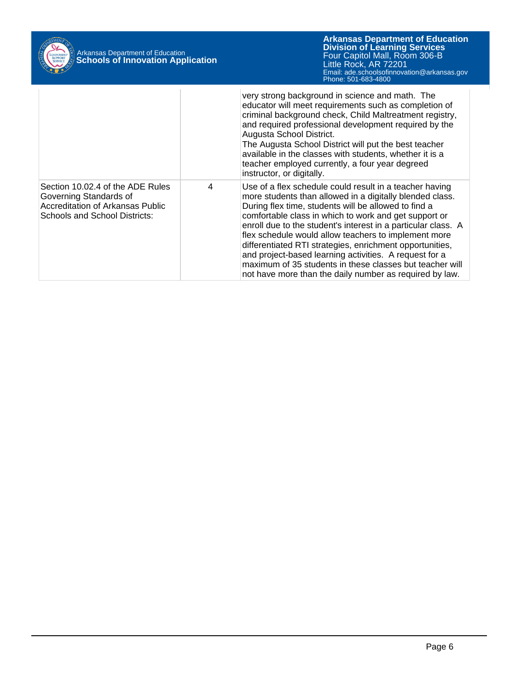| Arkansas Department of Education<br><b>Schools of Innovation Application</b> |                                                                                                                                 |   | <b>Arkansas Department of Education</b><br><b>Division of Learning Services</b><br>Four Capitol Mall, Room 306-B<br>Little Rock, AR 72201<br>Email: ade.schoolsofinnovation@arkansas.gov<br>Phone: 501-683-4800                                                                                                                                                                                                                                                                                                                                                                                            |
|------------------------------------------------------------------------------|---------------------------------------------------------------------------------------------------------------------------------|---|------------------------------------------------------------------------------------------------------------------------------------------------------------------------------------------------------------------------------------------------------------------------------------------------------------------------------------------------------------------------------------------------------------------------------------------------------------------------------------------------------------------------------------------------------------------------------------------------------------|
|                                                                              |                                                                                                                                 |   | very strong background in science and math. The<br>educator will meet requirements such as completion of<br>criminal background check, Child Maltreatment registry,<br>and required professional development required by the<br>Augusta School District.<br>The Augusta School District will put the best teacher<br>available in the classes with students, whether it is a<br>teacher employed currently, a four year degreed<br>instructor, or digitally.                                                                                                                                               |
|                                                                              | Section 10.02.4 of the ADE Rules<br>Governing Standards of<br>Accreditation of Arkansas Public<br>Schools and School Districts: | 4 | Use of a flex schedule could result in a teacher having<br>more students than allowed in a digitally blended class.<br>During flex time, students will be allowed to find a<br>comfortable class in which to work and get support or<br>enroll due to the student's interest in a particular class. A<br>flex schedule would allow teachers to implement more<br>differentiated RTI strategies, enrichment opportunities,<br>and project-based learning activities. A request for a<br>maximum of 35 students in these classes but teacher will<br>not have more than the daily number as required by law. |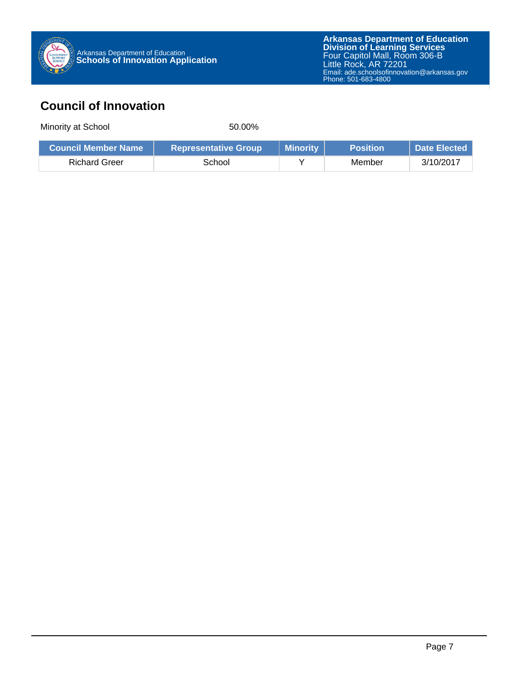

## **Council of Innovation**

Minority at School 50.00%

|               | <b>Representative Group</b> | Minority | <b>Position</b> | Date Elected |
|---------------|-----------------------------|----------|-----------------|--------------|
| Richard Greer | School                      |          | Member          | 3/10/2017    |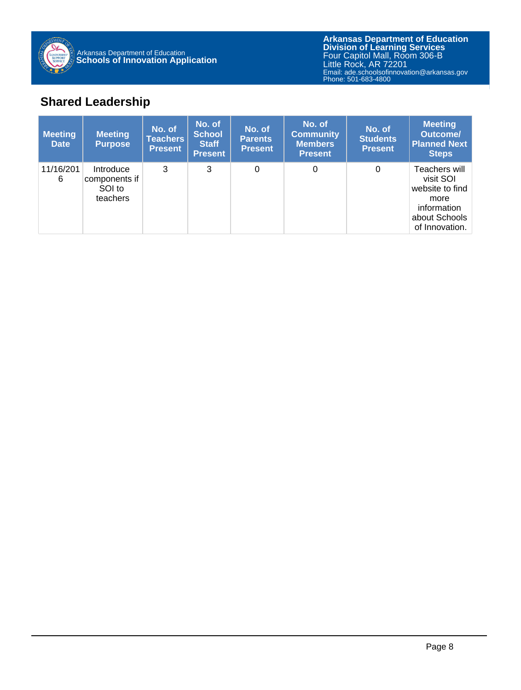

## **Shared Leadership**

| <b>Meeting</b><br><b>Date</b> | <b>Meeting</b><br><b>Purpose</b>                 | No. of<br><b>Teachers</b><br><b>Present</b> | No. of<br><b>School</b><br><b>Staff</b><br><b>Present</b> | No. of<br><b>Parents</b><br><b>Present</b> | No. of<br><b>Community</b><br><b>Members</b><br><b>Present</b> | No. of<br><b>Students</b><br><b>Present</b> | <b>Meeting</b><br><b>Outcome/</b><br><b>Planned Next</b><br><b>Steps</b>                                |
|-------------------------------|--------------------------------------------------|---------------------------------------------|-----------------------------------------------------------|--------------------------------------------|----------------------------------------------------------------|---------------------------------------------|---------------------------------------------------------------------------------------------------------|
| 11/16/201<br>6                | Introduce<br>components if<br>SOI to<br>teachers | 3                                           | 3                                                         | $\Omega$                                   | 0                                                              | 0                                           | Teachers will<br>visit SOI<br>website to find<br>more<br>information<br>about Schools<br>of Innovation. |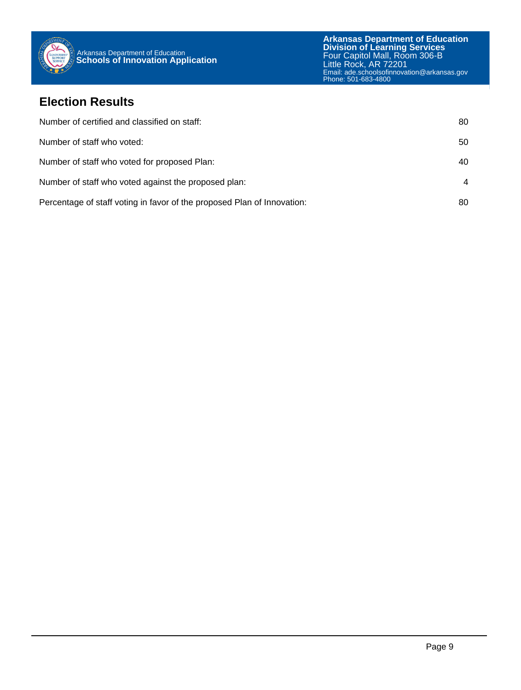

#### **Election Results**

| Number of certified and classified on staff:                            | 80 |
|-------------------------------------------------------------------------|----|
| Number of staff who voted:                                              | 50 |
| Number of staff who voted for proposed Plan:                            | 40 |
| Number of staff who voted against the proposed plan:                    | 4  |
| Percentage of staff voting in favor of the proposed Plan of Innovation: | 80 |